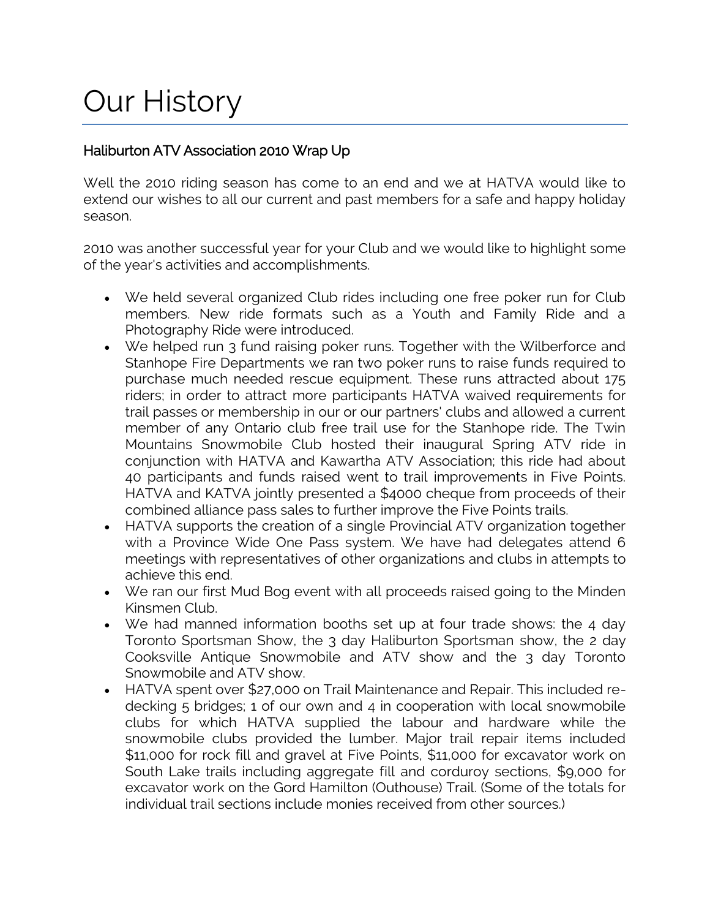# Our History

# Haliburton ATV Association 2010 Wrap Up

Well the 2010 riding season has come to an end and we at HATVA would like to extend our wishes to all our current and past members for a safe and happy holiday season.

2010 was another successful year for your Club and we would like to highlight some of the year's activities and accomplishments.

- We held several organized Club rides including one free poker run for Club members. New ride formats such as a Youth and Family Ride and a Photography Ride were introduced.
- We helped run 3 fund raising poker runs. Together with the Wilberforce and Stanhope Fire Departments we ran two poker runs to raise funds required to purchase much needed rescue equipment. These runs attracted about 175 riders; in order to attract more participants HATVA waived requirements for trail passes or membership in our or our partners' clubs and allowed a current member of any Ontario club free trail use for the Stanhope ride. The Twin Mountains Snowmobile Club hosted their inaugural Spring ATV ride in conjunction with HATVA and Kawartha ATV Association; this ride had about 40 participants and funds raised went to trail improvements in Five Points. HATVA and KATVA jointly presented a \$4000 cheque from proceeds of their combined alliance pass sales to further improve the Five Points trails.
- HATVA supports the creation of a single Provincial ATV organization together with a Province Wide One Pass system. We have had delegates attend 6 meetings with representatives of other organizations and clubs in attempts to achieve this end.
- We ran our first Mud Bog event with all proceeds raised going to the Minden Kinsmen Club.
- We had manned information booths set up at four trade shows: the 4 day Toronto Sportsman Show, the 3 day Haliburton Sportsman show, the 2 day Cooksville Antique Snowmobile and ATV show and the 3 day Toronto Snowmobile and ATV show.
- HATVA spent over \$27,000 on Trail Maintenance and Repair. This included redecking 5 bridges; 1 of our own and 4 in cooperation with local snowmobile clubs for which HATVA supplied the labour and hardware while the snowmobile clubs provided the lumber. Major trail repair items included \$11,000 for rock fill and gravel at Five Points, \$11,000 for excavator work on South Lake trails including aggregate fill and corduroy sections, \$9,000 for excavator work on the Gord Hamilton (Outhouse) Trail. (Some of the totals for individual trail sections include monies received from other sources.)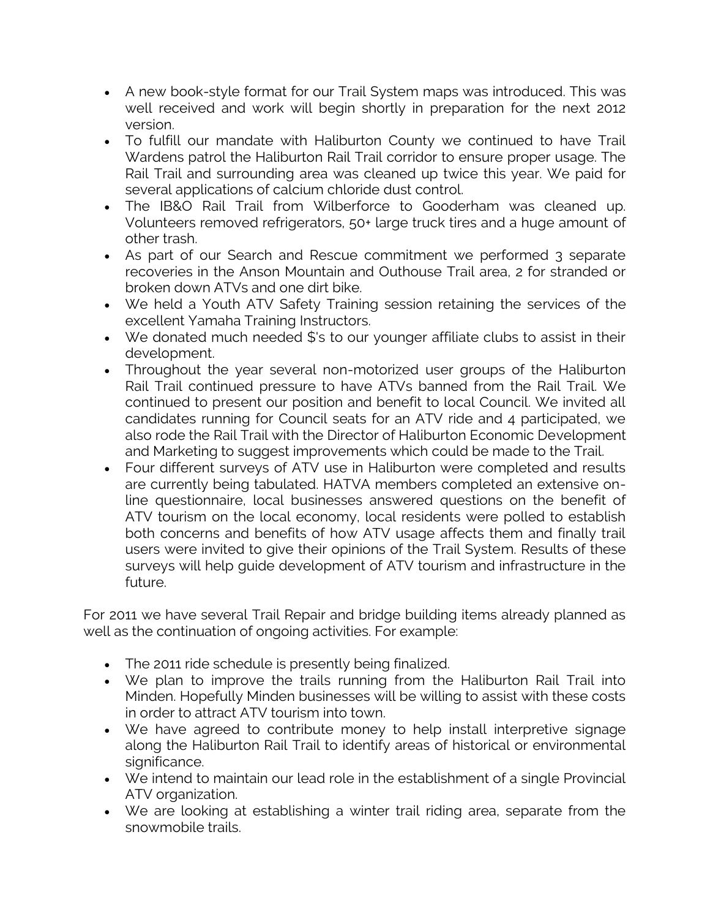- A new book-style format for our Trail System maps was introduced. This was well received and work will begin shortly in preparation for the next 2012 version.
- To fulfill our mandate with Haliburton County we continued to have Trail Wardens patrol the Haliburton Rail Trail corridor to ensure proper usage. The Rail Trail and surrounding area was cleaned up twice this year. We paid for several applications of calcium chloride dust control.
- The IB&O Rail Trail from Wilberforce to Gooderham was cleaned up. Volunteers removed refrigerators, 50+ large truck tires and a huge amount of other trash.
- As part of our Search and Rescue commitment we performed 3 separate recoveries in the Anson Mountain and Outhouse Trail area, 2 for stranded or broken down ATVs and one dirt bike.
- We held a Youth ATV Safety Training session retaining the services of the excellent Yamaha Training Instructors.
- We donated much needed \$'s to our younger affiliate clubs to assist in their development.
- Throughout the year several non-motorized user groups of the Haliburton Rail Trail continued pressure to have ATVs banned from the Rail Trail. We continued to present our position and benefit to local Council. We invited all candidates running for Council seats for an ATV ride and 4 participated, we also rode the Rail Trail with the Director of Haliburton Economic Development and Marketing to suggest improvements which could be made to the Trail.
- Four different surveys of ATV use in Haliburton were completed and results are currently being tabulated. HATVA members completed an extensive online questionnaire, local businesses answered questions on the benefit of ATV tourism on the local economy, local residents were polled to establish both concerns and benefits of how ATV usage affects them and finally trail users were invited to give their opinions of the Trail System. Results of these surveys will help guide development of ATV tourism and infrastructure in the future.

For 2011 we have several Trail Repair and bridge building items already planned as well as the continuation of ongoing activities. For example:

- The 2011 ride schedule is presently being finalized.
- We plan to improve the trails running from the Haliburton Rail Trail into Minden. Hopefully Minden businesses will be willing to assist with these costs in order to attract ATV tourism into town.
- We have agreed to contribute money to help install interpretive signage along the Haliburton Rail Trail to identify areas of historical or environmental significance.
- We intend to maintain our lead role in the establishment of a single Provincial ATV organization.
- We are looking at establishing a winter trail riding area, separate from the snowmobile trails.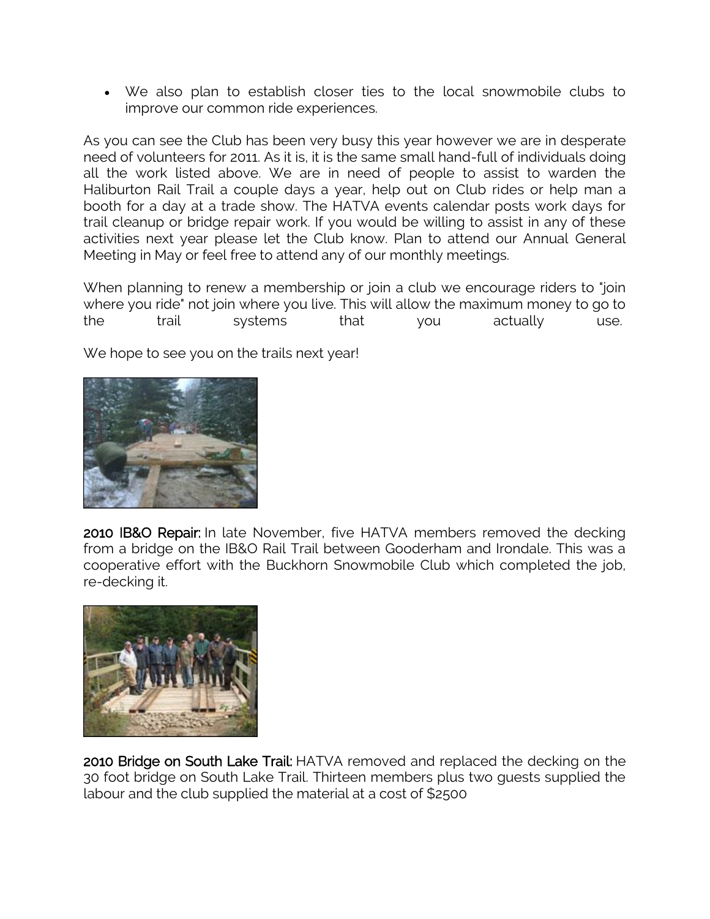We also plan to establish closer ties to the local snowmobile clubs to improve our common ride experiences.

As you can see the Club has been very busy this year however we are in desperate need of volunteers for 2011. As it is, it is the same small hand-full of individuals doing all the work listed above. We are in need of people to assist to warden the Haliburton Rail Trail a couple days a year, help out on Club rides or help man a booth for a day at a trade show. The HATVA events calendar posts work days for trail cleanup or bridge repair work. If you would be willing to assist in any of these activities next year please let the Club know. Plan to attend our Annual General Meeting in May or feel free to attend any of our monthly meetings.

When planning to renew a membership or join a club we encourage riders to "join where you ride" not join where you live. This will allow the maximum money to go to the trail systems that you actually use.

We hope to see you on the trails next year!



2010 IB&O Repair: In late November, five HATVA members removed the decking from a bridge on the IB&O Rail Trail between Gooderham and Irondale. This was a cooperative effort with the Buckhorn Snowmobile Club which completed the job, re-decking it.



2010 Bridge on South Lake Trail: HATVA removed and replaced the decking on the 30 foot bridge on South Lake Trail. Thirteen members plus two guests supplied the labour and the club supplied the material at a cost of \$2500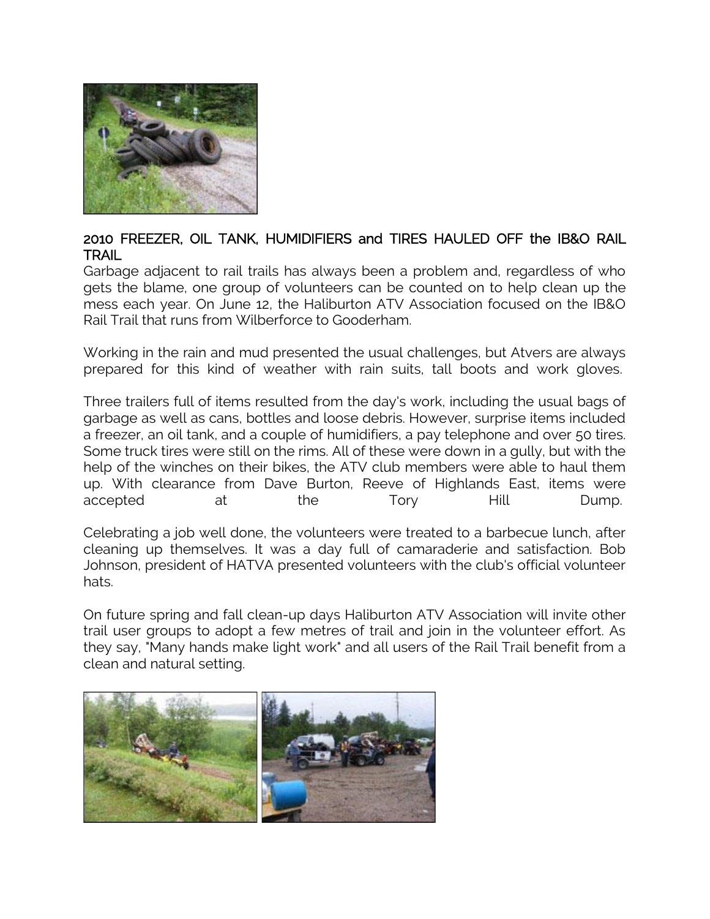

## 2010 FREEZER, OIL TANK, HUMIDIFIERS and TIRES HAULED OFF the IB&O RAIL **TRAIL**

Garbage adjacent to rail trails has always been a problem and, regardless of who gets the blame, one group of volunteers can be counted on to help clean up the mess each year. On June 12, the Haliburton ATV Association focused on the IB&O Rail Trail that runs from Wilberforce to Gooderham.

Working in the rain and mud presented the usual challenges, but Atvers are always prepared for this kind of weather with rain suits, tall boots and work gloves.

Three trailers full of items resulted from the day's work, including the usual bags of garbage as well as cans, bottles and loose debris. However, surprise items included a freezer, an oil tank, and a couple of humidifiers, a pay telephone and over 50 tires. Some truck tires were still on the rims. All of these were down in a gully, but with the help of the winches on their bikes, the ATV club members were able to haul them up. With clearance from Dave Burton, Reeve of Highlands East, items were accepted at the Tory Hill Dump.

Celebrating a job well done, the volunteers were treated to a barbecue lunch, after cleaning up themselves. It was a day full of camaraderie and satisfaction. Bob Johnson, president of HATVA presented volunteers with the club's official volunteer hats.

On future spring and fall clean-up days Haliburton ATV Association will invite other trail user groups to adopt a few metres of trail and join in the volunteer effort. As they say, "Many hands make light work" and all users of the Rail Trail benefit from a clean and natural setting.

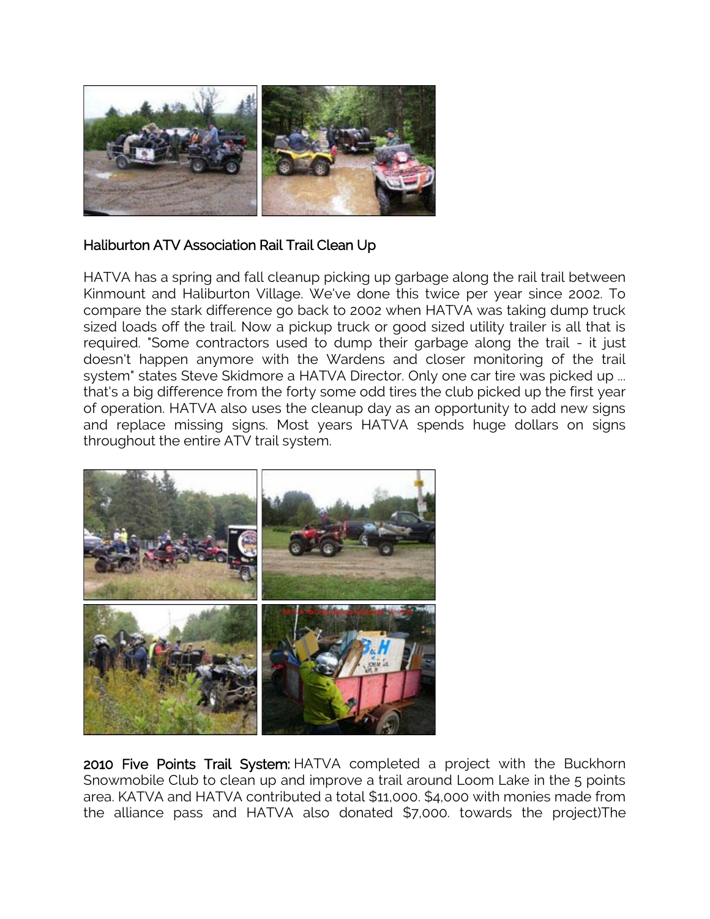

# Haliburton ATV Association Rail Trail Clean Up

HATVA has a spring and fall cleanup picking up garbage along the rail trail between Kinmount and Haliburton Village. We've done this twice per year since 2002. To compare the stark difference go back to 2002 when HATVA was taking dump truck sized loads off the trail. Now a pickup truck or good sized utility trailer is all that is required. "Some contractors used to dump their garbage along the trail - it just doesn't happen anymore with the Wardens and closer monitoring of the trail system" states Steve Skidmore a HATVA Director. Only one car tire was picked up ... that's a big difference from the forty some odd tires the club picked up the first year of operation. HATVA also uses the cleanup day as an opportunity to add new signs and replace missing signs. Most years HATVA spends huge dollars on signs throughout the entire ATV trail system.



2010 Five Points Trail System: HATVA completed a project with the Buckhorn Snowmobile Club to clean up and improve a trail around Loom Lake in the 5 points area. KATVA and HATVA contributed a total \$11,000. \$4,000 with monies made from the alliance pass and HATVA also donated \$7,000. towards the project)The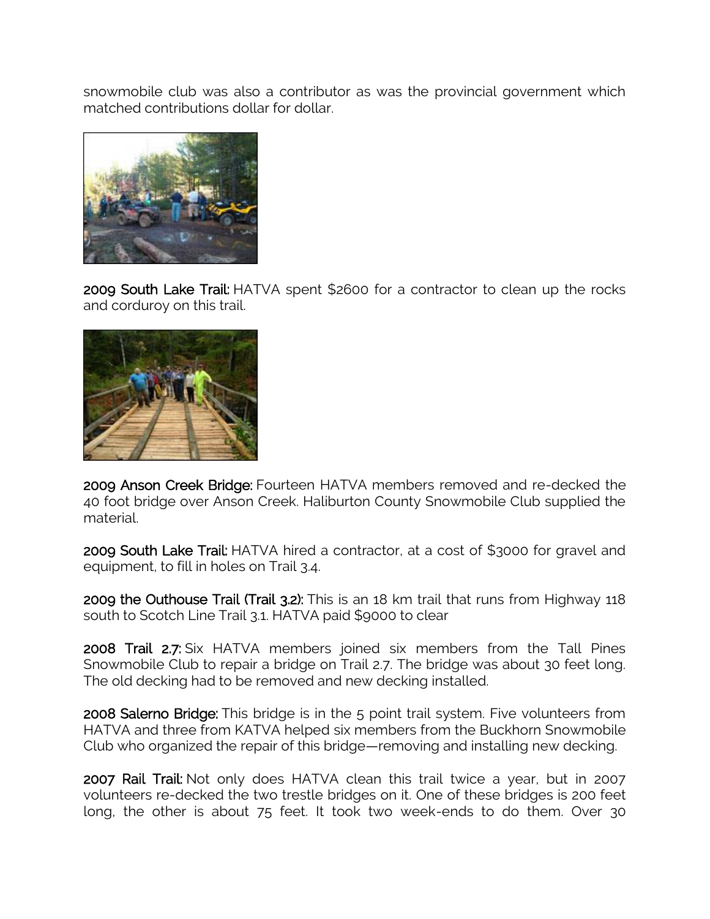snowmobile club was also a contributor as was the provincial government which matched contributions dollar for dollar.



2009 South Lake Trail: HATVA spent \$2600 for a contractor to clean up the rocks and corduroy on this trail.



2009 Anson Creek Bridge: Fourteen HATVA members removed and re-decked the 40 foot bridge over Anson Creek. Haliburton County Snowmobile Club supplied the material.

2009 South Lake Trail: HATVA hired a contractor, at a cost of \$3000 for gravel and equipment, to fill in holes on Trail 3.4.

2009 the Outhouse Trail (Trail 3.2): This is an 18 km trail that runs from Highway 118 south to Scotch Line Trail 3.1. HATVA paid \$9000 to clear

2008 Trail 2.7: Six HATVA members joined six members from the Tall Pines Snowmobile Club to repair a bridge on Trail 2.7. The bridge was about 30 feet long. The old decking had to be removed and new decking installed.

2008 Salerno Bridge: This bridge is in the 5 point trail system. Five volunteers from HATVA and three from KATVA helped six members from the Buckhorn Snowmobile Club who organized the repair of this bridge—removing and installing new decking.

2007 Rail Trail: Not only does HATVA clean this trail twice a year, but in 2007 volunteers re-decked the two trestle bridges on it. One of these bridges is 200 feet long, the other is about 75 feet. It took two week-ends to do them. Over 30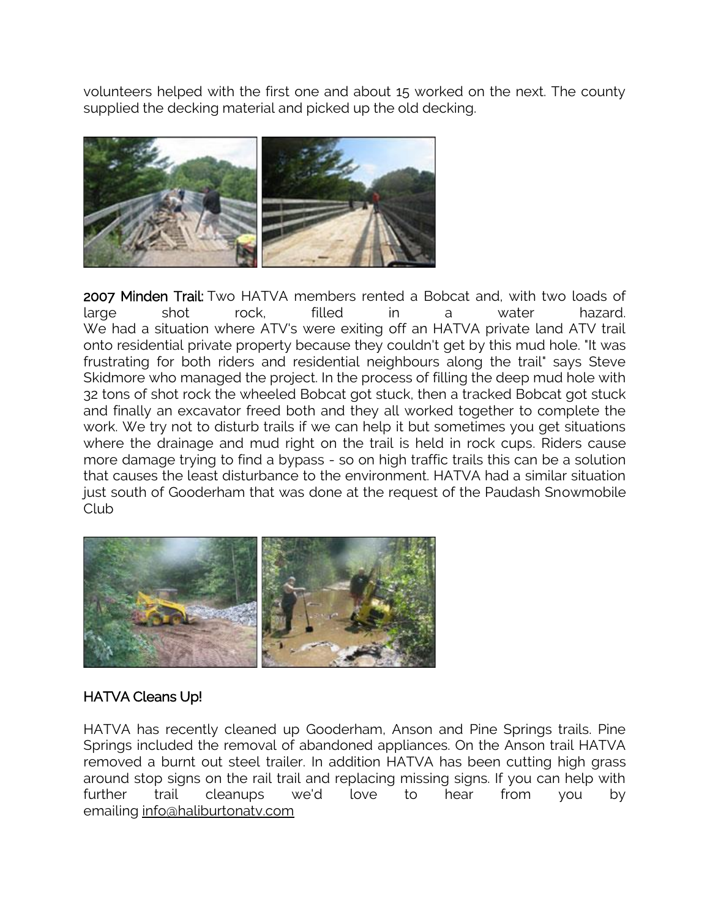volunteers helped with the first one and about 15 worked on the next. The county supplied the decking material and picked up the old decking.



2007 Minden Trail: Two HATVA members rented a Bobcat and, with two loads of large shot rock, filled in a water hazard. We had a situation where ATV's were exiting off an HATVA private land ATV trail onto residential private property because they couldn't get by this mud hole. "It was frustrating for both riders and residential neighbours along the trail" says Steve Skidmore who managed the project. In the process of filling the deep mud hole with 32 tons of shot rock the wheeled Bobcat got stuck, then a tracked Bobcat got stuck and finally an excavator freed both and they all worked together to complete the work. We try not to disturb trails if we can help it but sometimes you get situations where the drainage and mud right on the trail is held in rock cups. Riders cause more damage trying to find a bypass - so on high traffic trails this can be a solution that causes the least disturbance to the environment. HATVA had a similar situation just south of Gooderham that was done at the request of the Paudash Snowmobile Club



# HATVA Cleans Up!

HATVA has recently cleaned up Gooderham, Anson and Pine Springs trails. Pine Springs included the removal of abandoned appliances. On the Anson trail HATVA removed a burnt out steel trailer. In addition HATVA has been cutting high grass around stop signs on the rail trail and replacing missing signs. If you can help with further trail cleanups we'd love to hear from you by emailing [info@haliburtonatv.com](mailto:info@haliburtonatv.com)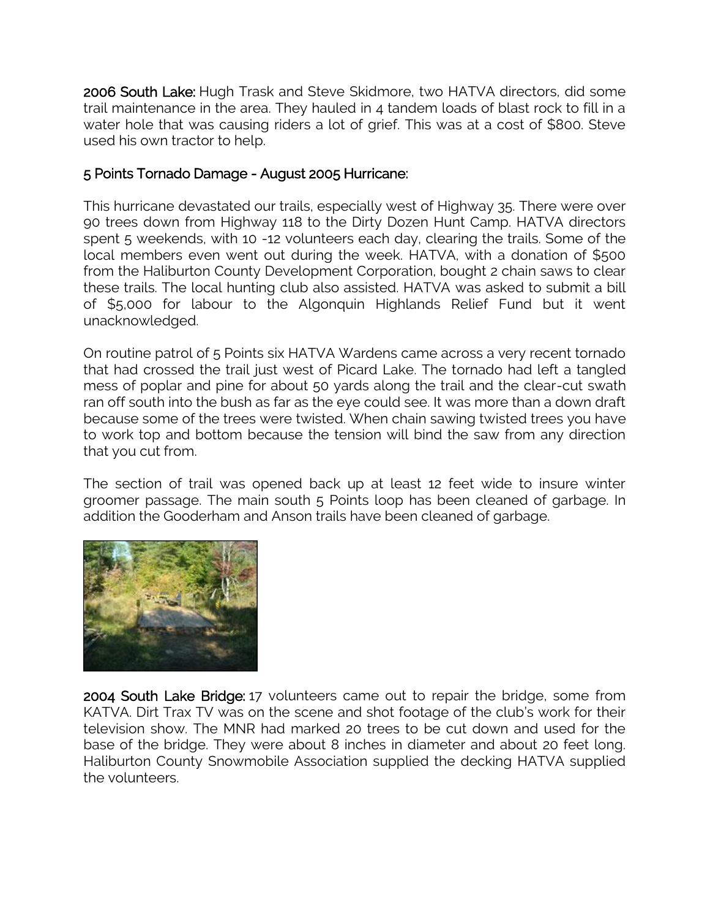2006 South Lake: Hugh Trask and Steve Skidmore, two HATVA directors, did some trail maintenance in the area. They hauled in 4 tandem loads of blast rock to fill in a water hole that was causing riders a lot of grief. This was at a cost of \$800. Steve used his own tractor to help.

# 5 Points Tornado Damage - August 2005 Hurricane:

This hurricane devastated our trails, especially west of Highway 35. There were over 90 trees down from Highway 118 to the Dirty Dozen Hunt Camp. HATVA directors spent 5 weekends, with 10 -12 volunteers each day, clearing the trails. Some of the local members even went out during the week. HATVA, with a donation of \$500 from the Haliburton County Development Corporation, bought 2 chain saws to clear these trails. The local hunting club also assisted. HATVA was asked to submit a bill of \$5,000 for labour to the Algonquin Highlands Relief Fund but it went unacknowledged.

On routine patrol of 5 Points six HATVA Wardens came across a very recent tornado that had crossed the trail just west of Picard Lake. The tornado had left a tangled mess of poplar and pine for about 50 yards along the trail and the clear-cut swath ran off south into the bush as far as the eye could see. It was more than a down draft because some of the trees were twisted. When chain sawing twisted trees you have to work top and bottom because the tension will bind the saw from any direction that you cut from.

The section of trail was opened back up at least 12 feet wide to insure winter groomer passage. The main south 5 Points loop has been cleaned of garbage. In addition the Gooderham and Anson trails have been cleaned of garbage.



2004 South Lake Bridge: 17 volunteers came out to repair the bridge, some from KATVA. Dirt Trax TV was on the scene and shot footage of the club's work for their television show. The MNR had marked 20 trees to be cut down and used for the base of the bridge. They were about 8 inches in diameter and about 20 feet long. Haliburton County Snowmobile Association supplied the decking HATVA supplied the volunteers.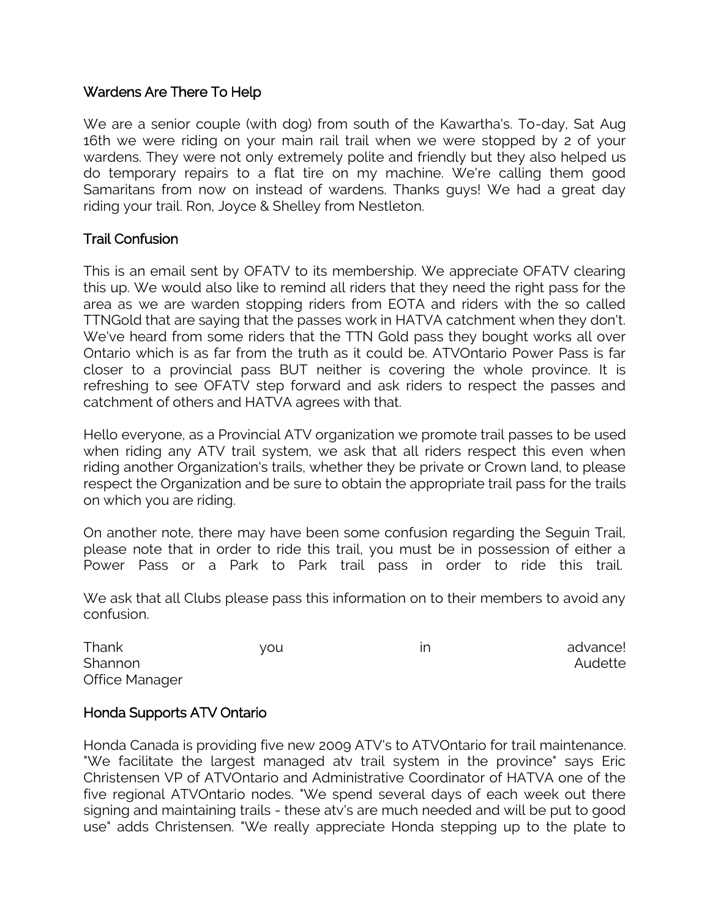#### Wardens Are There To Help

We are a senior couple (with dog) from south of the Kawartha's. To-day, Sat Aug 16th we were riding on your main rail trail when we were stopped by 2 of your wardens. They were not only extremely polite and friendly but they also helped us do temporary repairs to a flat tire on my machine. We're calling them good Samaritans from now on instead of wardens. Thanks guys! We had a great day riding your trail. Ron, Joyce & Shelley from Nestleton.

#### Trail Confusion

This is an email sent by OFATV to its membership. We appreciate OFATV clearing this up. We would also like to remind all riders that they need the right pass for the area as we are warden stopping riders from EOTA and riders with the so called TTNGold that are saying that the passes work in HATVA catchment when they don't. We've heard from some riders that the TTN Gold pass they bought works all over Ontario which is as far from the truth as it could be. ATVOntario Power Pass is far closer to a provincial pass BUT neither is covering the whole province. It is refreshing to see OFATV step forward and ask riders to respect the passes and catchment of others and HATVA agrees with that.

Hello everyone, as a Provincial ATV organization we promote trail passes to be used when riding any ATV trail system, we ask that all riders respect this even when riding another Organization's trails, whether they be private or Crown land, to please respect the Organization and be sure to obtain the appropriate trail pass for the trails on which you are riding.

On another note, there may have been some confusion regarding the Seguin Trail, please note that in order to ride this trail, you must be in possession of either a Power Pass or a Park to Park trail pass in order to ride this trail.

We ask that all Clubs please pass this information on to their members to avoid any confusion.

| Thank          | vou | advance! |
|----------------|-----|----------|
| Shannon        |     | Audette  |
| Office Manager |     |          |

## Honda Supports ATV Ontario

Honda Canada is providing five new 2009 ATV's to ATVOntario for trail maintenance. "We facilitate the largest managed atv trail system in the province" says Eric Christensen VP of ATVOntario and Administrative Coordinator of HATVA one of the five regional ATVOntario nodes. "We spend several days of each week out there signing and maintaining trails - these atv's are much needed and will be put to good use" adds Christensen. "We really appreciate Honda stepping up to the plate to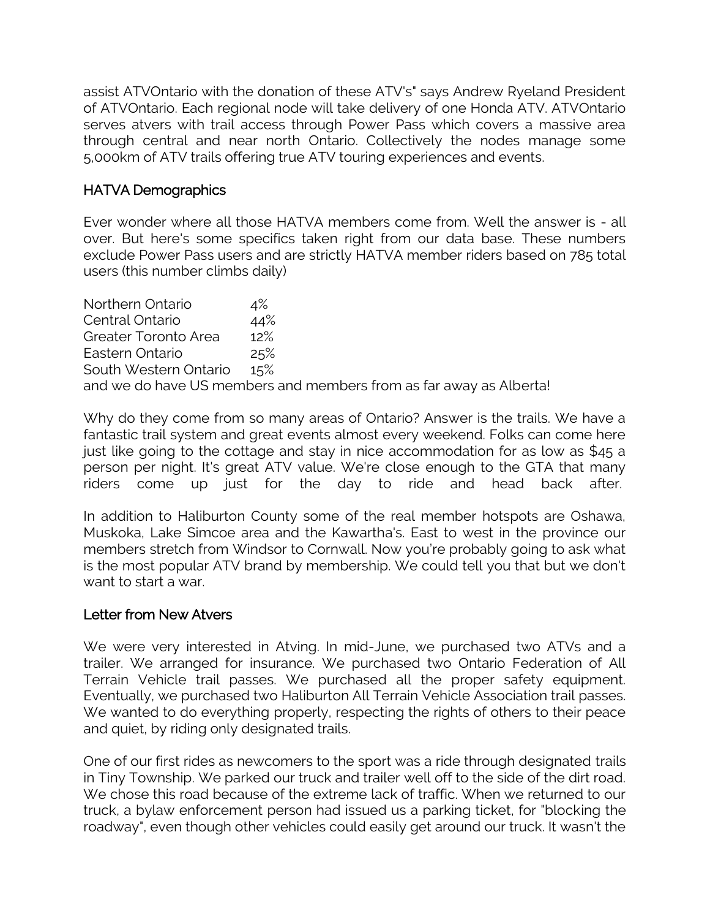assist ATVOntario with the donation of these ATV's" says Andrew Ryeland President of ATVOntario. Each regional node will take delivery of one Honda ATV. ATVOntario serves atvers with trail access through Power Pass which covers a massive area through central and near north Ontario. Collectively the nodes manage some 5,000km of ATV trails offering true ATV touring experiences and events.

# HATVA Demographics

Ever wonder where all those HATVA members come from. Well the answer is - all over. But here's some specifics taken right from our data base. These numbers exclude Power Pass users and are strictly HATVA member riders based on 785 total users (this number climbs daily)

Northern Ontario 4% Central Ontario 44% Greater Toronto Area 12% Eastern Ontario 25% South Western Ontario 15% and we do have US members and members from as far away as Alberta!

Why do they come from so many areas of Ontario? Answer is the trails. We have a fantastic trail system and great events almost every weekend. Folks can come here just like going to the cottage and stay in nice accommodation for as low as \$45 a person per night. It's great ATV value. We're close enough to the GTA that many riders come up just for the day to ride and head back after.

In addition to Haliburton County some of the real member hotspots are Oshawa, Muskoka, Lake Simcoe area and the Kawartha's. East to west in the province our members stretch from Windsor to Cornwall. Now you're probably going to ask what is the most popular ATV brand by membership. We could tell you that but we don't want to start a war.

## Letter from New Atvers

We were very interested in Atving. In mid-June, we purchased two ATVs and a trailer. We arranged for insurance. We purchased two Ontario Federation of All Terrain Vehicle trail passes. We purchased all the proper safety equipment. Eventually, we purchased two Haliburton All Terrain Vehicle Association trail passes. We wanted to do everything properly, respecting the rights of others to their peace and quiet, by riding only designated trails.

One of our first rides as newcomers to the sport was a ride through designated trails in Tiny Township. We parked our truck and trailer well off to the side of the dirt road. We chose this road because of the extreme lack of traffic. When we returned to our truck, a bylaw enforcement person had issued us a parking ticket, for "blocking the roadway", even though other vehicles could easily get around our truck. It wasn't the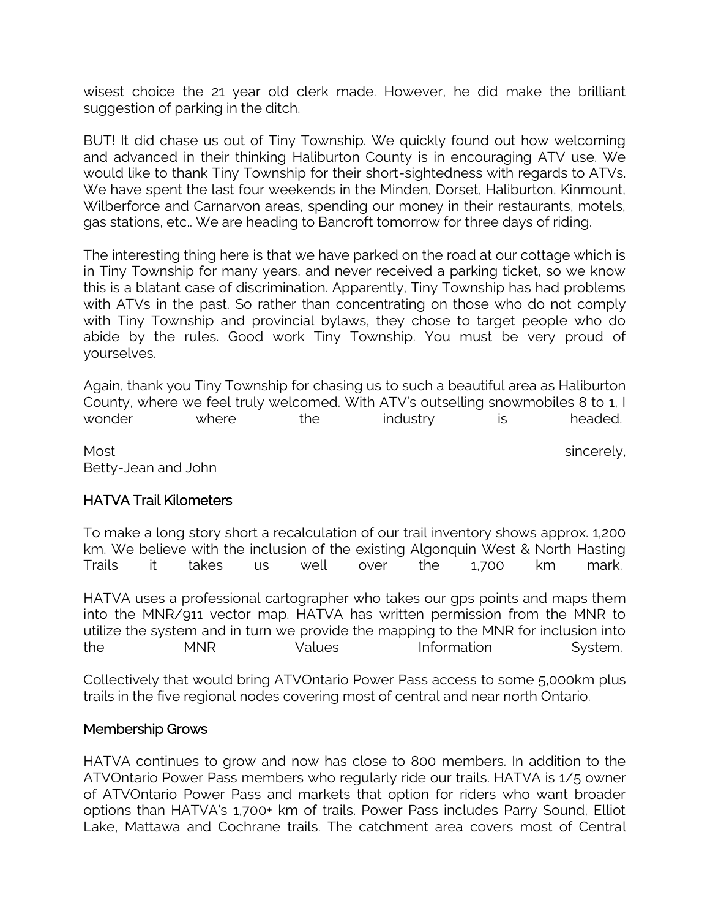wisest choice the 21 year old clerk made. However, he did make the brilliant suggestion of parking in the ditch.

BUT! It did chase us out of Tiny Township. We quickly found out how welcoming and advanced in their thinking Haliburton County is in encouraging ATV use. We would like to thank Tiny Township for their short-sightedness with regards to ATVs. We have spent the last four weekends in the Minden, Dorset, Haliburton, Kinmount, Wilberforce and Carnarvon areas, spending our money in their restaurants, motels, gas stations, etc.. We are heading to Bancroft tomorrow for three days of riding.

The interesting thing here is that we have parked on the road at our cottage which is in Tiny Township for many years, and never received a parking ticket, so we know this is a blatant case of discrimination. Apparently, Tiny Township has had problems with ATVs in the past. So rather than concentrating on those who do not comply with Tiny Township and provincial bylaws, they chose to target people who do abide by the rules. Good work Tiny Township. You must be very proud of yourselves.

Again, thank you Tiny Township for chasing us to such a beautiful area as Haliburton County, where we feel truly welcomed. With ATV's outselling snowmobiles 8 to 1, I wonder where the industry is headed.

Most sincerely, Betty-Jean and John

## HATVA Trail Kilometers

To make a long story short a recalculation of our trail inventory shows approx. 1,200 km. We believe with the inclusion of the existing Algonquin West & North Hasting Trails it takes us well over the 1,700 km mark.

HATVA uses a professional cartographer who takes our gps points and maps them into the MNR/911 vector map. HATVA has written permission from the MNR to utilize the system and in turn we provide the mapping to the MNR for inclusion into the MNR Values Information System.

Collectively that would bring ATVOntario Power Pass access to some 5,000km plus trails in the five regional nodes covering most of central and near north Ontario.

#### Membership Grows

HATVA continues to grow and now has close to 800 members. In addition to the ATVOntario Power Pass members who regularly ride our trails. HATVA is 1/5 owner of ATVOntario Power Pass and markets that option for riders who want broader options than HATVA's 1,700+ km of trails. Power Pass includes Parry Sound, Elliot Lake, Mattawa and Cochrane trails. The catchment area covers most of Central